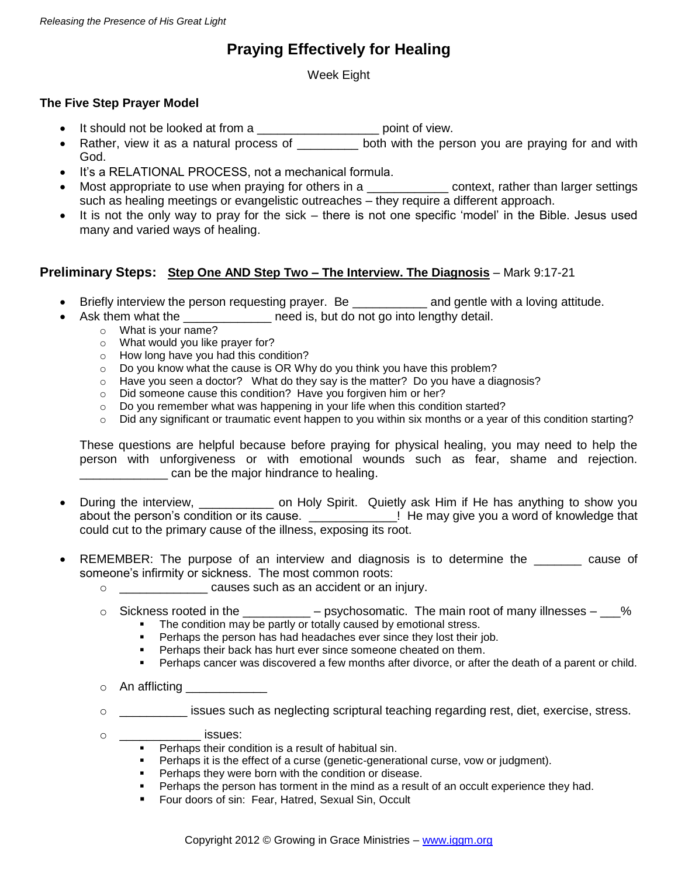# **Praying Effectively for Healing**

Week Eight

## **The Five Step Prayer Model**

- It should not be looked at from a \_\_\_\_\_\_\_\_\_\_\_\_\_\_\_\_\_\_\_\_\_\_\_\_ point of view.
- Rather, view it as a natural process of \_\_\_\_\_\_\_\_ both with the person you are praying for and with God.
- It's a RELATIONAL PROCESS, not a mechanical formula.
- Most appropriate to use when praying for others in a \_\_\_\_\_\_\_\_\_\_\_\_\_\_\_\_ context, rather than larger settings such as healing meetings or evangelistic outreaches – they require a different approach.
- It is not the only way to pray for the sick there is not one specific 'model' in the Bible. Jesus used many and varied ways of healing.

## **Preliminary Steps: Step One AND Step Two – The Interview. The Diagnosis** – Mark 9:17-21

- Briefly interview the person requesting prayer. Be \_\_\_\_\_\_\_\_\_\_\_\_\_ and gentle with a loving attitude.
- Ask them what the \_\_\_\_\_\_\_\_\_\_\_\_\_\_\_\_ need is, but do not go into lengthy detail.
	- o What is your name?
	- o What would you like prayer for?
	- o How long have you had this condition?
	- o Do you know what the cause is OR Why do you think you have this problem?
	- $\circ$  Have you seen a doctor? What do they say is the matter? Do you have a diagnosis?
	- o Did someone cause this condition? Have you forgiven him or her?
	- o Do you remember what was happening in your life when this condition started?
	- $\circ$  Did any significant or traumatic event happen to you within six months or a year of this condition starting?

These questions are helpful because before praying for physical healing, you may need to help the person with unforgiveness or with emotional wounds such as fear, shame and rejection. can be the major hindrance to healing.

- During the interview, \_\_\_\_\_\_\_\_\_\_ on Holy Spirit. Quietly ask Him if He has anything to show you about the person's condition or its cause. \_\_\_\_\_\_\_\_\_\_\_\_\_\_! He may give you a word of knowledge that could cut to the primary cause of the illness, exposing its root.
- REMEMBER: The purpose of an interview and diagnosis is to determine the \_\_\_\_\_\_\_ cause of someone's infirmity or sickness. The most common roots:
	- o \_\_\_\_\_\_\_\_\_\_\_\_\_ causes such as an accident or an injury.
	- $\circ$  Sickness rooted in the \_\_\_\_\_\_\_\_\_\_ psychosomatic. The main root of many illnesses  $\sim$ %
		- The condition may be partly or totally caused by emotional stress.<br>Perhaps the person has had headaches ever since they lost their in
		- Perhaps the person has had headaches ever since they lost their job.
		- **Perhaps their back has hurt ever since someone cheated on them.**
		- **Perhaps cancer was discovered a few months after divorce, or after the death of a parent or child.**
	- $\circ$  An afflicting
	- o \_\_\_\_\_\_\_\_\_\_ issues such as neglecting scriptural teaching regarding rest, diet, exercise, stress.
	- o \_\_\_\_\_\_\_\_\_\_\_\_ issues:
		- **Perhaps their condition is a result of habitual sin.**
		- **Perhaps it is the effect of a curse (genetic-generational curse, vow or judgment).**
		- **Perhaps they were born with the condition or disease.**
		- **Perhaps the person has torment in the mind as a result of an occult experience they had.**
		- **F** Four doors of sin: Fear, Hatred, Sexual Sin, Occult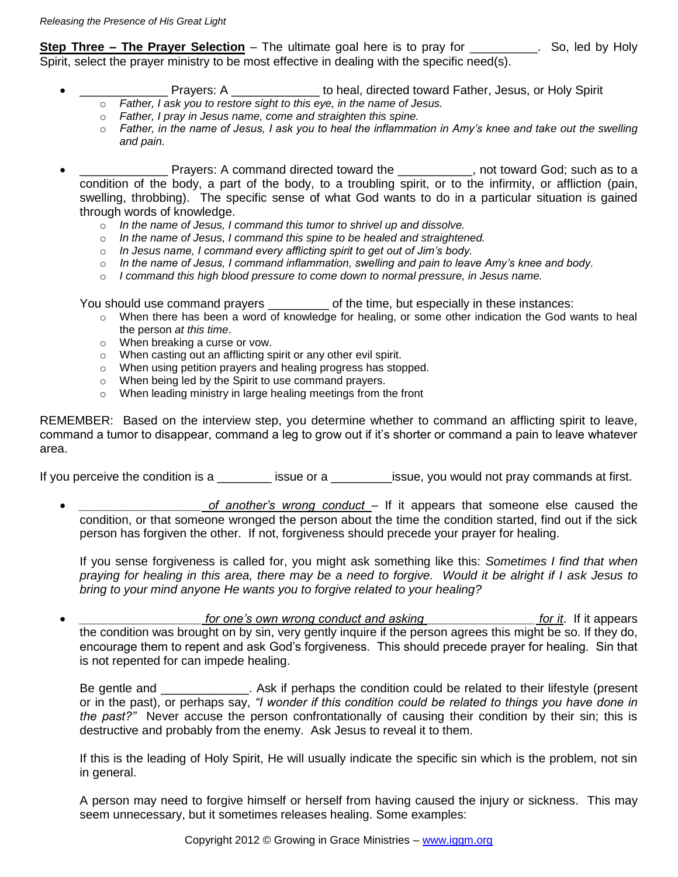**Step Three – The Prayer Selection** – The ultimate goal here is to pray for \_\_\_\_\_\_\_\_\_\_. So, led by Holy Spirit, select the prayer ministry to be most effective in dealing with the specific need(s).

- Prayers: A \_\_\_\_\_\_\_\_\_\_\_\_\_\_\_\_ to heal, directed toward Father, Jesus, or Holy Spirit
	- o *Father, I ask you to restore sight to this eye, in the name of Jesus.*
	- o *Father, I pray in Jesus name, come and straighten this spine.*
	- o *Father, in the name of Jesus, I ask you to heal the inflammation in Amy's knee and take out the swelling and pain.*
- **EXECUTE:** Prayers: A command directed toward the **EXECUTE:** not toward God; such as to a condition of the body, a part of the body, to a troubling spirit, or to the infirmity, or affliction (pain, swelling, throbbing). The specific sense of what God wants to do in a particular situation is gained through words of knowledge.
	- o *In the name of Jesus, I command this tumor to shrivel up and dissolve.*
	- o *In the name of Jesus, I command this spine to be healed and straightened.*
	- o *In Jesus name, I command every afflicting spirit to get out of Jim's body.*
	- o *In the name of Jesus, I command inflammation, swelling and pain to leave Amy's knee and body.*
	- o *I command this high blood pressure to come down to normal pressure, in Jesus name.*

You should use command prayers \_\_\_\_\_\_\_\_\_\_ of the time, but especially in these instances:

- o When there has been a word of knowledge for healing, or some other indication the God wants to heal the person *at this time*.
- o When breaking a curse or vow.
- o When casting out an afflicting spirit or any other evil spirit.
- o When using petition prayers and healing progress has stopped.
- o When being led by the Spirit to use command prayers.
- o When leading ministry in large healing meetings from the front

REMEMBER: Based on the interview step, you determine whether to command an afflicting spirit to leave, command a tumor to disappear, command a leg to grow out if it's shorter or command a pain to leave whatever area.

If you perceive the condition is a conserve issue or a conserve issue, you would not pray commands at first.

*of another's wrong conduct* – If it appears that someone else caused the condition, or that someone wronged the person about the time the condition started, find out if the sick person has forgiven the other. If not, forgiveness should precede your prayer for healing.

If you sense forgiveness is called for, you might ask something like this: *Sometimes I find that when praying for healing in this area, there may be a need to forgive. Would it be alright if I ask Jesus to bring to your mind anyone He wants you to forgive related to your healing?* 

*for one's own wrong conduct and asking \_\_\_\_\_\_\_\_\_\_\_\_\_\_\_\_\_\_\_\_\_\_\_\_\_ for it.* **If it appears** the condition was brought on by sin, very gently inquire if the person agrees this might be so. If they do, encourage them to repent and ask God's forgiveness. This should precede prayer for healing. Sin that is not repented for can impede healing.

Be gentle and \_\_\_\_\_\_\_\_\_\_\_\_\_. Ask if perhaps the condition could be related to their lifestyle (present or in the past), or perhaps say, *"I wonder if this condition could be related to things you have done in the past?"* Never accuse the person confrontationally of causing their condition by their sin; this is destructive and probably from the enemy. Ask Jesus to reveal it to them.

If this is the leading of Holy Spirit, He will usually indicate the specific sin which is the problem, not sin in general.

A person may need to forgive himself or herself from having caused the injury or sickness. This may seem unnecessary, but it sometimes releases healing. Some examples: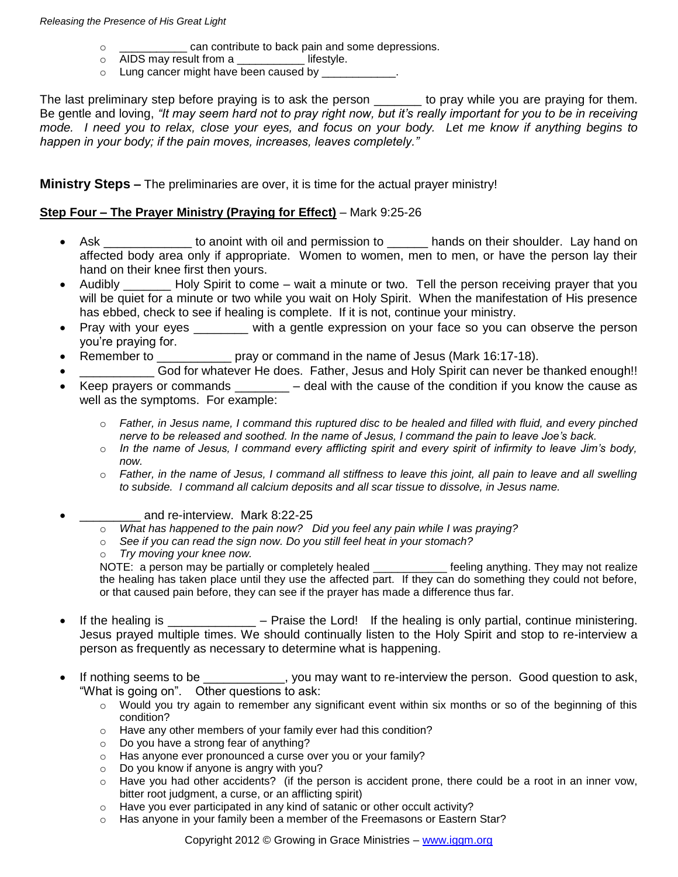- o \_\_\_\_\_\_\_\_\_\_\_ can contribute to back pain and some depressions.
- o AIDS may result from a \_\_\_\_\_\_\_\_\_\_\_ lifestyle.
- $\circ$  Lung cancer might have been caused by  $\equiv$

The last preliminary step before praying is to ask the person \_\_\_\_\_\_\_ to pray while you are praying for them. Be gentle and loving, *"It may seem hard not to pray right now, but it's really important for you to be in receiving mode. I need you to relax, close your eyes, and focus on your body. Let me know if anything begins to happen in your body; if the pain moves, increases, leaves completely."* 

**Ministry Steps –** The preliminaries are over, it is time for the actual prayer ministry!

### **Step Four – The Prayer Ministry (Praying for Effect)** – Mark 9:25-26

- Ask **be anot anot anot and permission to** bands on their shoulder. Lay hand on affected body area only if appropriate. Women to women, men to men, or have the person lay their hand on their knee first then yours.
- Audibly \_\_\_\_\_\_\_ Holy Spirit to come wait a minute or two. Tell the person receiving prayer that you will be quiet for a minute or two while you wait on Holy Spirit. When the manifestation of His presence has ebbed, check to see if healing is complete. If it is not, continue your ministry.
- Pray with your eyes \_\_\_\_\_\_ with a gentle expression on your face so you can observe the person you're praying for.
- Remember to \_\_\_\_\_\_\_\_\_\_\_\_\_ pray or command in the name of Jesus (Mark 16:17-18).
- God for whatever He does. Father, Jesus and Holy Spirit can never be thanked enough!!
- Keep prayers or commands  $\_\_\_\_\_$  deal with the cause of the condition if you know the cause as well as the symptoms. For example:
	- o *Father, in Jesus name, I command this ruptured disc to be healed and filled with fluid, and every pinched nerve to be released and soothed. In the name of Jesus, I command the pain to leave Joe's back.*
	- o *In the name of Jesus, I command every afflicting spirit and every spirit of infirmity to leave Jim's body, now.*
	- o *Father, in the name of Jesus, I command all stiffness to leave this joint, all pain to leave and all swelling to subside. I command all calcium deposits and all scar tissue to dissolve, in Jesus name.*
- and re-interview. Mark 8:22-25
	- o *What has happened to the pain now? Did you feel any pain while I was praying?*
	- o *See if you can read the sign now. Do you still feel heat in your stomach?*
	- o *Try moving your knee now.*

NOTE: a person may be partially or completely healed \_\_\_\_\_\_\_\_\_\_\_\_\_ feeling anything. They may not realize the healing has taken place until they use the affected part. If they can do something they could not before, or that caused pain before, they can see if the prayer has made a difference thus far.

- If the healing is \_\_\_\_\_\_\_\_\_\_\_\_\_\_\_ Praise the Lord! If the healing is only partial, continue ministering. Jesus prayed multiple times. We should continually listen to the Holy Spirit and stop to re-interview a person as frequently as necessary to determine what is happening.
- If nothing seems to be \_\_\_\_\_\_\_\_\_\_, you may want to re-interview the person. Good question to ask, "What is going on". Other questions to ask:
	- o Would you try again to remember any significant event within six months or so of the beginning of this condition?
	- o Have any other members of your family ever had this condition?
	- o Do you have a strong fear of anything?
	- o Has anyone ever pronounced a curse over you or your family?
	- o Do you know if anyone is angry with you?
	- o Have you had other accidents? (if the person is accident prone, there could be a root in an inner vow, bitter root judgment, a curse, or an afflicting spirit)
	- o Have you ever participated in any kind of satanic or other occult activity?
	- $\circ$  Has anyone in your family been a member of the Freemasons or Eastern Star?